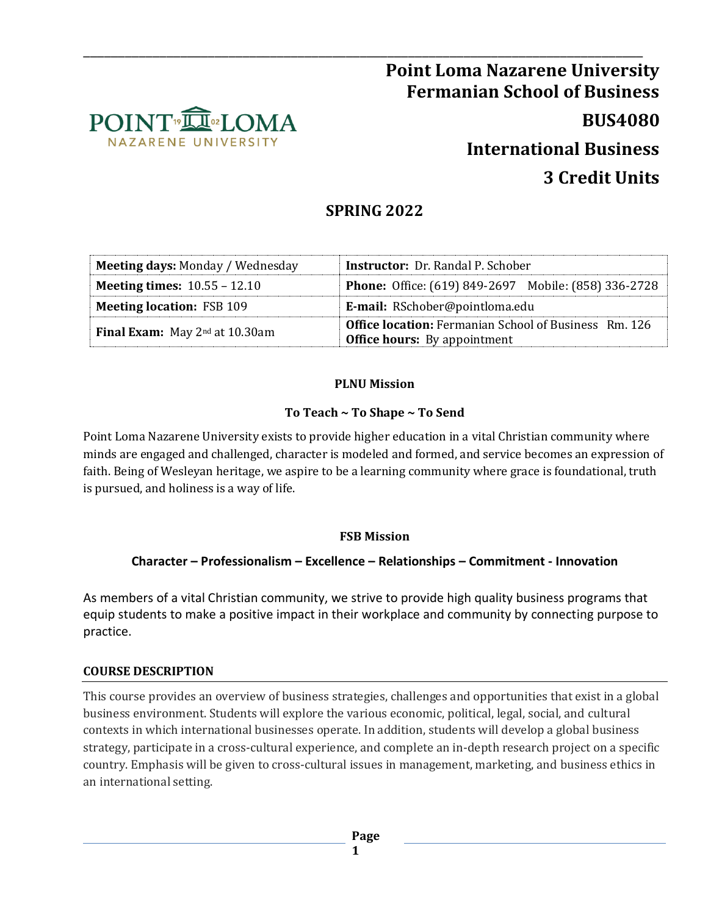

# \_\_\_\_\_\_\_\_\_\_\_\_\_\_\_\_\_\_\_\_\_\_\_\_\_\_\_\_\_\_\_\_\_\_\_\_\_\_\_\_\_\_\_\_\_\_\_\_\_\_\_\_\_\_\_\_\_\_\_\_\_\_\_\_\_\_\_\_\_\_\_\_\_\_\_\_\_\_\_\_\_ **Point Loma Nazarene University Fermanian School of Business BUS4080 International Business 3 Credit Units**

## **SPRING 2022**

| <b>Meeting days: Monday / Wednesday</b>    | <b>Instructor:</b> Dr. Randal P. Schober                                                            |  |  |
|--------------------------------------------|-----------------------------------------------------------------------------------------------------|--|--|
| <b>Meeting times:</b> $10.55 - 12.10$      | <b>Phone:</b> Office: (619) 849-2697 Mobile: (858) 336-2728                                         |  |  |
| <b>Meeting location: FSB 109</b>           | E-mail: RSchober@pointloma.edu                                                                      |  |  |
| <b>Final Exam:</b> May $2^{nd}$ at 10.30am | <b>Office location:</b> Fermanian School of Business Rm. 126<br><b>Office hours:</b> By appointment |  |  |

#### **PLNU Mission**

## **To Teach ~ To Shape ~ To Send**

Point Loma Nazarene University exists to provide higher education in a vital Christian community where minds are engaged and challenged, character is modeled and formed, and service becomes an expression of faith. Being of Wesleyan heritage, we aspire to be a learning community where grace is foundational, truth is pursued, and holiness is a way of life.

## **FSB Mission**

## **Character – Professionalism – Excellence – Relationships – Commitment - Innovation**

As members of a vital Christian community, we strive to provide high quality business programs that equip students to make a positive impact in their workplace and community by connecting purpose to practice.

#### **COURSE DESCRIPTION**

This course provides an overview of business strategies, challenges and opportunities that exist in a global business environment. Students will explore the various economic, political, legal, social, and cultural contexts in which international businesses operate. In addition, students will develop a global business strategy, participate in a cross-cultural experience, and complete an in-depth research project on a specific country. Emphasis will be given to cross-cultural issues in management, marketing, and business ethics in an international setting.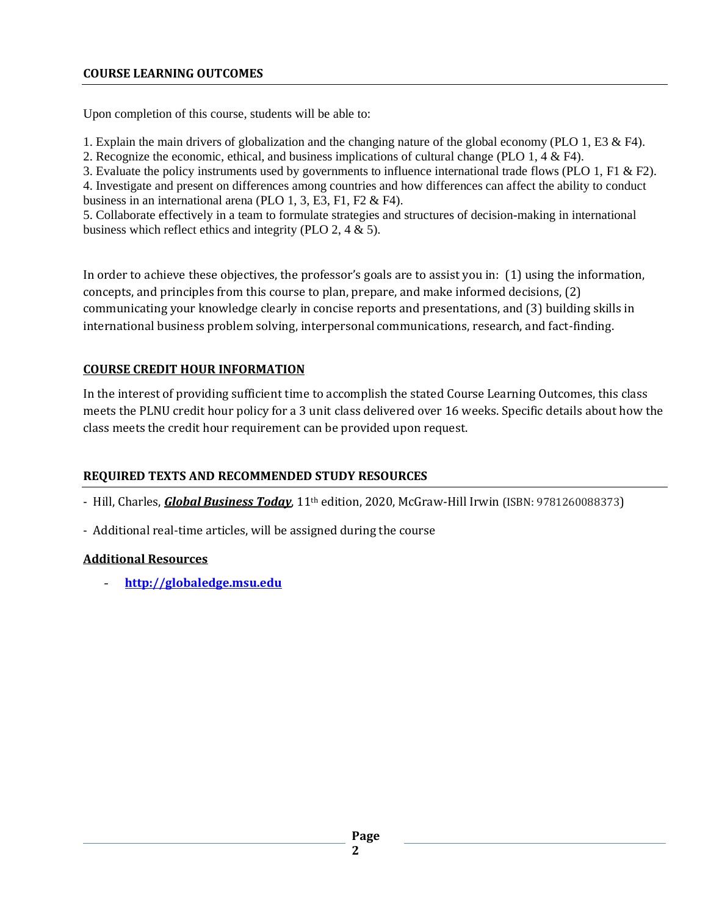#### **COURSE LEARNING OUTCOMES**

Upon completion of this course, students will be able to:

1. Explain the main drivers of globalization and the changing nature of the global economy (PLO 1, E3 & F4).

2. Recognize the economic, ethical, and business implications of cultural change (PLO 1, 4 & F4).

3. Evaluate the policy instruments used by governments to influence international trade flows (PLO 1, F1 & F2).

4. Investigate and present on differences among countries and how differences can affect the ability to conduct business in an international arena (PLO 1, 3, E3, F1, F2 & F4).

5. Collaborate effectively in a team to formulate strategies and structures of decision-making in international business which reflect ethics and integrity (PLO 2, 4 & 5).

In order to achieve these objectives, the professor's goals are to assist you in: (1) using the information, concepts, and principles from this course to plan, prepare, and make informed decisions, (2) communicating your knowledge clearly in concise reports and presentations, and (3) building skills in international business problem solving, interpersonal communications, research, and fact-finding.

## **COURSE CREDIT HOUR INFORMATION**

In the interest of providing sufficient time to accomplish the stated Course Learning Outcomes, this class meets the PLNU credit hour policy for a 3 unit class delivered over 16 weeks. Specific details about how the class meets the credit hour requirement can be provided upon request.

## **REQUIRED TEXTS AND RECOMMENDED STUDY RESOURCES**

- Hill, Charles, *Global Business Today*, 11th edition, 2020, McGraw-Hill Irwin (ISBN: 9781260088373)

- Additional real-time articles, will be assigned during the course

## **Additional Resources**

- **[http://globaledge.msu.edu](http://globaledge.msu.edu/)**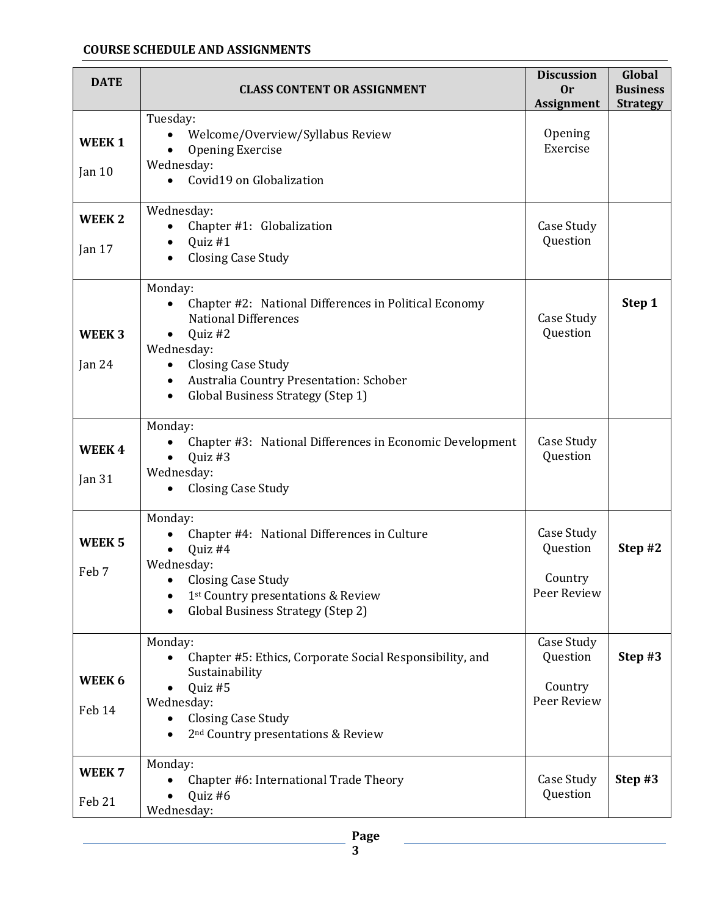#### **COURSE SCHEDULE AND ASSIGNMENTS**

| <b>DATE</b>                   | <b>CLASS CONTENT OR ASSIGNMENT</b>                                                                                                                                                                                                                                           | <b>Discussion</b><br>0r<br><b>Assignment</b>     | Global<br><b>Business</b><br><b>Strategy</b> |
|-------------------------------|------------------------------------------------------------------------------------------------------------------------------------------------------------------------------------------------------------------------------------------------------------------------------|--------------------------------------------------|----------------------------------------------|
| <b>WEEK1</b><br>Jan $10$      | Tuesday:<br>Welcome/Overview/Syllabus Review<br><b>Opening Exercise</b><br>Wednesday:<br>Covid19 on Globalization                                                                                                                                                            | Opening<br>Exercise                              |                                              |
| <b>WEEK2</b><br>Jan $17$      | Wednesday:<br>Chapter #1: Globalization<br>$\bullet$<br>Quiz #1<br>$\bullet$<br><b>Closing Case Study</b>                                                                                                                                                                    | Case Study<br>Question                           |                                              |
| WEEK <sub>3</sub><br>Jan $24$ | Monday:<br>Chapter #2: National Differences in Political Economy<br><b>National Differences</b><br>Quiz #2<br>Wednesday:<br><b>Closing Case Study</b><br>$\bullet$<br>Australia Country Presentation: Schober<br>$\bullet$<br>Global Business Strategy (Step 1)<br>$\bullet$ | Case Study<br>Question                           | Step 1                                       |
| WEEK4<br>Jan 31               | Monday:<br>Chapter #3: National Differences in Economic Development<br>Quiz #3<br>$\bullet$<br>Wednesday:<br><b>Closing Case Study</b>                                                                                                                                       | Case Study<br>Question                           |                                              |
| WEEK <sub>5</sub><br>Feb 7    | Monday:<br>Chapter #4: National Differences in Culture<br>Quiz #4<br>Wednesday:<br>• Closing Case Study<br>1st Country presentations & Review<br>Global Business Strategy (Step 2)                                                                                           | Case Study<br>Question<br>Country<br>Peer Review | Step #2                                      |
| WEEK 6<br>Feb 14              | Monday:<br>Chapter #5: Ethics, Corporate Social Responsibility, and<br>Sustainability<br>Quiz #5<br>Wednesday:<br><b>Closing Case Study</b><br>2 <sup>nd</sup> Country presentations & Review                                                                                | Case Study<br>Question<br>Country<br>Peer Review | Step #3                                      |
| WEEK <sub>7</sub><br>Feb 21   | Monday:<br>Chapter #6: International Trade Theory<br>Quiz #6<br>Wednesday:                                                                                                                                                                                                   | Case Study<br>Question                           | Step #3                                      |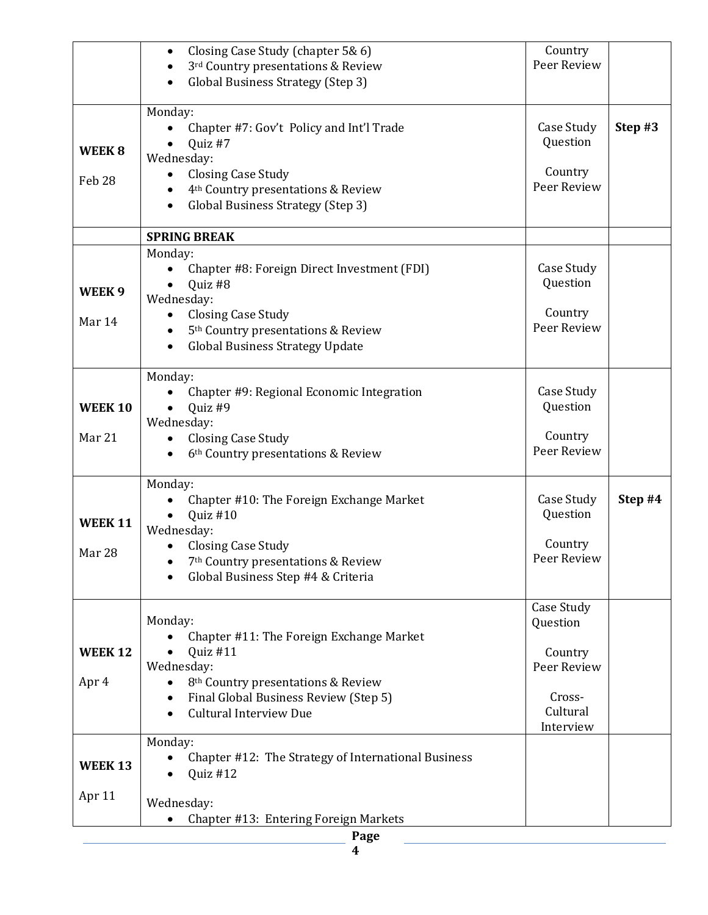|                   | Closing Case Study (chapter 5& 6)                           | Country     |         |
|-------------------|-------------------------------------------------------------|-------------|---------|
|                   | 3rd Country presentations & Review                          | Peer Review |         |
|                   |                                                             |             |         |
|                   | <b>Global Business Strategy (Step 3)</b>                    |             |         |
|                   | Monday:                                                     |             |         |
|                   |                                                             | Case Study  | Step #3 |
|                   | Chapter #7: Gov't Policy and Int'l Trade                    | Question    |         |
| WEEK 8            | Quiz #7                                                     |             |         |
|                   | Wednesday:                                                  |             |         |
| Feb <sub>28</sub> | <b>Closing Case Study</b><br>$\bullet$                      | Country     |         |
|                   | 4 <sup>th</sup> Country presentations & Review              | Peer Review |         |
|                   | Global Business Strategy (Step 3)                           |             |         |
|                   |                                                             |             |         |
|                   | <b>SPRING BREAK</b>                                         |             |         |
|                   | Monday:                                                     |             |         |
|                   | Chapter #8: Foreign Direct Investment (FDI)                 | Case Study  |         |
|                   | Quiz #8                                                     | Question    |         |
| WEEK <sub>9</sub> | Wednesday:                                                  |             |         |
|                   | <b>Closing Case Study</b><br>$\bullet$                      | Country     |         |
| Mar 14            | 5 <sup>th</sup> Country presentations & Review              | Peer Review |         |
|                   | <b>Global Business Strategy Update</b><br>٠                 |             |         |
|                   |                                                             |             |         |
|                   | Monday:                                                     |             |         |
|                   |                                                             | Case Study  |         |
|                   | Chapter #9: Regional Economic Integration                   | Question    |         |
| <b>WEEK 10</b>    | Quiz #9                                                     |             |         |
|                   | Wednesday:                                                  | Country     |         |
| Mar 21            | <b>Closing Case Study</b>                                   | Peer Review |         |
|                   | 6 <sup>th</sup> Country presentations & Review              |             |         |
|                   |                                                             |             |         |
|                   | Monday:                                                     |             |         |
|                   | Chapter #10: The Foreign Exchange Market                    | Case Study  | Step #4 |
| <b>WEEK 11</b>    | Quiz #10                                                    | Question    |         |
|                   | Wednesday:                                                  |             |         |
| Mar 28            | <b>Closing Case Study</b>                                   | Country     |         |
|                   | 7 <sup>th</sup> Country presentations & Review              | Peer Review |         |
|                   | Global Business Step #4 & Criteria                          |             |         |
|                   |                                                             |             |         |
|                   |                                                             | Case Study  |         |
|                   | Monday:                                                     | Question    |         |
|                   | Chapter #11: The Foreign Exchange Market                    |             |         |
| <b>WEEK 12</b>    | Quiz #11                                                    | Country     |         |
|                   | Wednesday:                                                  | Peer Review |         |
| Apr 4             | 8 <sup>th</sup> Country presentations & Review<br>$\bullet$ |             |         |
|                   | Final Global Business Review (Step 5)<br>$\bullet$          | Cross-      |         |
|                   | <b>Cultural Interview Due</b><br>$\bullet$                  | Cultural    |         |
|                   |                                                             | Interview   |         |
|                   | Monday:                                                     |             |         |
|                   | Chapter #12: The Strategy of International Business         |             |         |
| <b>WEEK 13</b>    | Quiz #12                                                    |             |         |
|                   |                                                             |             |         |
| Apr 11            | Wednesday:                                                  |             |         |
|                   | Chapter #13: Entering Foreign Markets                       |             |         |
|                   |                                                             |             |         |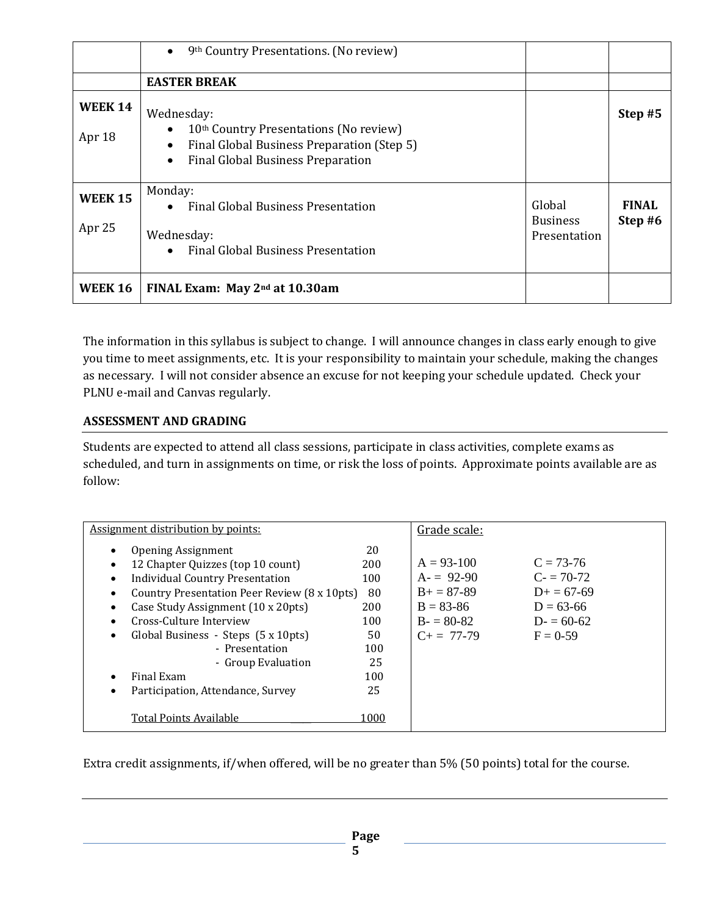|                          | 9th Country Presentations. (No review)<br>$\bullet$                                                                                                                                  |                                           |                         |
|--------------------------|--------------------------------------------------------------------------------------------------------------------------------------------------------------------------------------|-------------------------------------------|-------------------------|
|                          | <b>EASTER BREAK</b>                                                                                                                                                                  |                                           |                         |
| <b>WEEK 14</b><br>Apr 18 | Wednesday:<br>10 <sup>th</sup> Country Presentations (No review)<br>Final Global Business Preparation (Step 5)<br>$\bullet$<br><b>Final Global Business Preparation</b><br>$\bullet$ |                                           | Step #5                 |
| <b>WEEK 15</b><br>Apr 25 | Monday:<br><b>Final Global Business Presentation</b><br>Wednesday:<br><b>Final Global Business Presentation</b>                                                                      | Global<br><b>Business</b><br>Presentation | <b>FINAL</b><br>Step #6 |
| <b>WEEK 16</b>           | FINAL Exam: May 2 <sup>nd</sup> at 10.30am                                                                                                                                           |                                           |                         |

The information in this syllabus is subject to change. I will announce changes in class early enough to give you time to meet assignments, etc. It is your responsibility to maintain your schedule, making the changes as necessary. I will not consider absence an excuse for not keeping your schedule updated. Check your PLNU e-mail and Canvas regularly.

## **ASSESSMENT AND GRADING**

Students are expected to attend all class sessions, participate in class activities, complete exams as scheduled, and turn in assignments on time, or risk the loss of points. Approximate points available are as follow:

| <b>Assignment distribution by points:</b>                                                                                                                                                                                                                                                                                                                                                                                                          |                                                                              | Grade scale:                                                                                     |                                                                                          |
|----------------------------------------------------------------------------------------------------------------------------------------------------------------------------------------------------------------------------------------------------------------------------------------------------------------------------------------------------------------------------------------------------------------------------------------------------|------------------------------------------------------------------------------|--------------------------------------------------------------------------------------------------|------------------------------------------------------------------------------------------|
| <b>Opening Assignment</b><br>$\bullet$<br>12 Chapter Quizzes (top 10 count)<br>$\bullet$<br><b>Individual Country Presentation</b><br>٠<br>Country Presentation Peer Review (8 x 10pts)<br>٠<br>Case Study Assignment (10 x 20pts)<br>٠<br>Cross-Culture Interview<br>٠<br>Global Business - Steps (5 x 10pts)<br>٠<br>- Presentation<br>- Group Evaluation<br>Final Exam<br>٠<br>Participation, Attendance, Survey<br>٠<br>Total Points Available | 20<br>200<br>100<br>80<br>200<br>100<br>50<br>100<br>25<br>100<br>25<br>1000 | $A = 93-100$<br>$A = 92-90$<br>$B+=87-89$<br>$B = 83 - 86$<br>$B = 80-82$<br>$C_{\pm} = 77 - 79$ | $C = 73-76$<br>$C = 70-72$<br>$D+ = 67-69$<br>$D = 63 - 66$<br>$D = 60-62$<br>$F = 0.59$ |

Extra credit assignments, if/when offered, will be no greater than 5% (50 points) total for the course.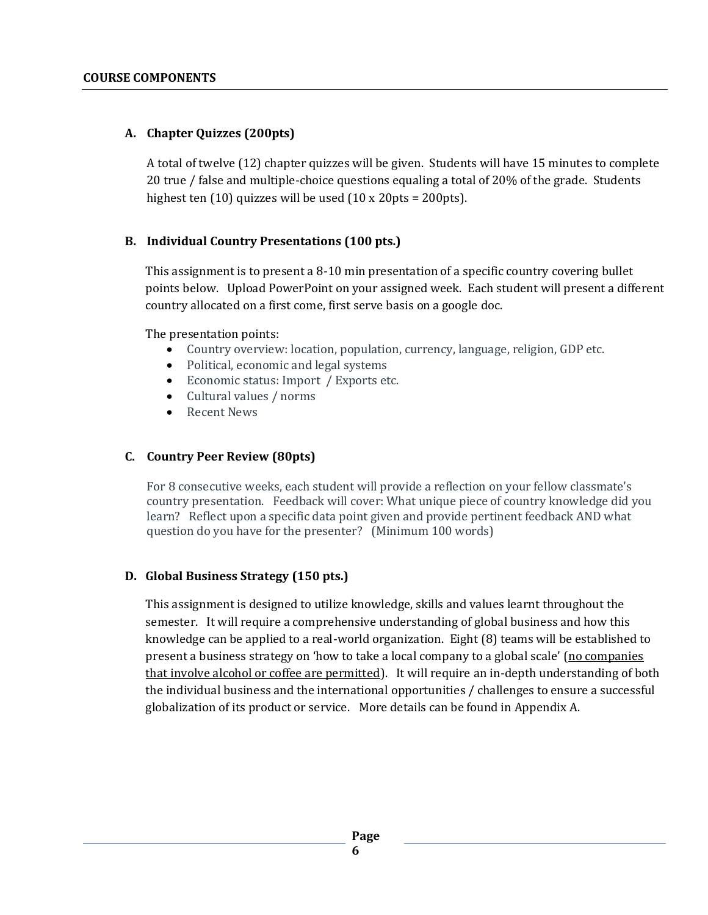## **A. Chapter Quizzes (200pts)**

A total of twelve (12) chapter quizzes will be given. Students will have 15 minutes to complete 20 true / false and multiple-choice questions equaling a total of 20% of the grade. Students highest ten (10) quizzes will be used (10 x 20pts = 200pts).

## **B. Individual Country Presentations (100 pts.)**

This assignment is to present a 8-10 min presentation of a specific country covering bullet points below. Upload PowerPoint on your assigned week. Each student will present a different country allocated on a first come, first serve basis on a google doc.

The presentation points:

- Country overview: location, population, currency, language, religion, GDP etc.
- Political, economic and legal systems
- Economic status: Import / Exports etc.
- Cultural values / norms
- **Recent News**

#### **C. Country Peer Review (80pts)**

For 8 consecutive weeks, each student will provide a reflection on your fellow classmate's country presentation. Feedback will cover: What unique piece of country knowledge did you learn? Reflect upon a specific data point given and provide pertinent feedback AND what question do you have for the presenter? (Minimum 100 words)

## **D. Global Business Strategy (150 pts.)**

This assignment is designed to utilize knowledge, skills and values learnt throughout the semester. It will require a comprehensive understanding of global business and how this knowledge can be applied to a real-world organization. Eight (8) teams will be established to present a business strategy on 'how to take a local company to a global scale' (no companies that involve alcohol or coffee are permitted). It will require an in-depth understanding of both the individual business and the international opportunities / challenges to ensure a successful globalization of its product or service. More details can be found in Appendix A.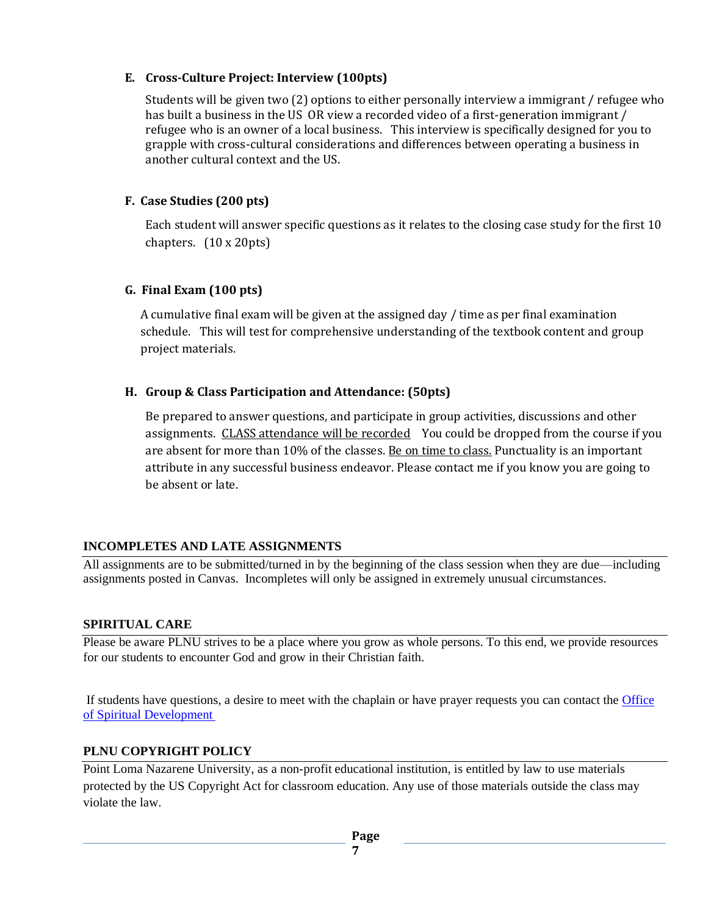#### **E. Cross-Culture Project: Interview (100pts)**

Students will be given two (2) options to either personally interview a immigrant / refugee who has built a business in the US OR view a recorded video of a first-generation immigrant / refugee who is an owner of a local business. This interview is specifically designed for you to grapple with cross-cultural considerations and differences between operating a business in another cultural context and the US.

## **F. Case Studies (200 pts)**

Each student will answer specific questions as it relates to the closing case study for the first 10 chapters. (10 x 20pts)

#### **G. Final Exam (100 pts)**

A cumulative final exam will be given at the assigned day / time as per final examination schedule. This will test for comprehensive understanding of the textbook content and group project materials.

#### **H. Group & Class Participation and Attendance: (50pts)**

Be prepared to answer questions, and participate in group activities, discussions and other assignments. CLASS attendance will be recordedYou could be dropped from the course if you are absent for more than 10% of the classes. Be on time to class, Punctuality is an important attribute in any successful business endeavor. Please contact me if you know you are going to be absent or late.

## **INCOMPLETES AND LATE ASSIGNMENTS**

All assignments are to be submitted/turned in by the beginning of the class session when they are due—including assignments posted in Canvas. Incompletes will only be assigned in extremely unusual circumstances.

#### **SPIRITUAL CARE**

Please be aware PLNU strives to be a place where you grow as whole persons. To this end, we provide resources for our students to encounter God and grow in their Christian faith.

If students have questions, a desire to meet with the chaplain or have prayer requests you can contact the [Office](https://www.pointloma.edu/offices/spiritual-development)  [of Spiritual Development](https://www.pointloma.edu/offices/spiritual-development)

#### **PLNU COPYRIGHT POLICY**

Point Loma Nazarene University, as a non-profit educational institution, is entitled by law to use materials protected by the US Copyright Act for classroom education. Any use of those materials outside the class may violate the law.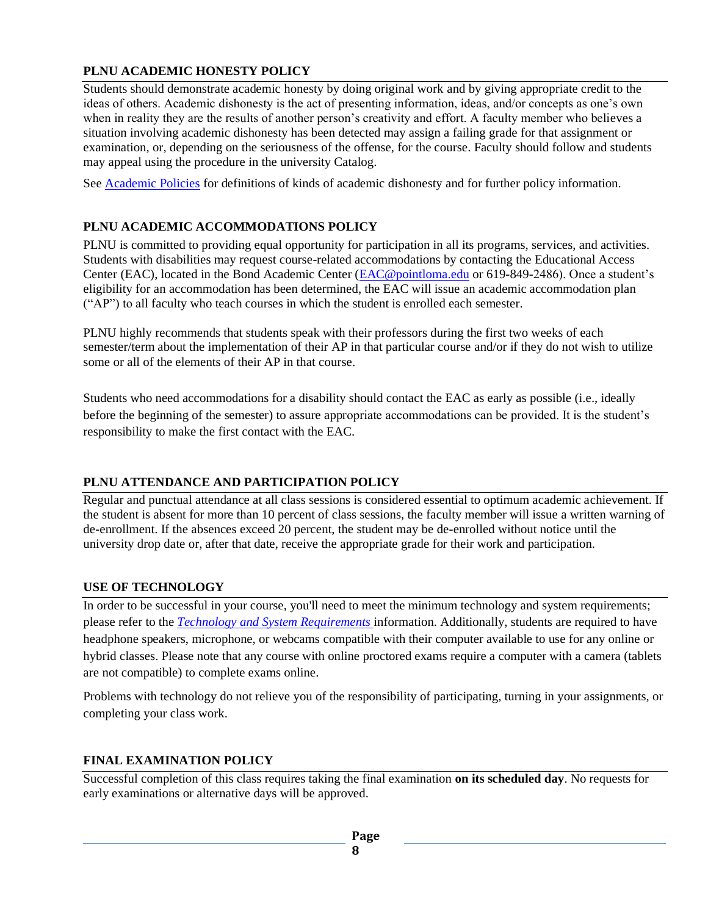## **PLNU ACADEMIC HONESTY POLICY**

Students should demonstrate academic honesty by doing original work and by giving appropriate credit to the ideas of others. Academic dishonesty is the act of presenting information, ideas, and/or concepts as one's own when in reality they are the results of another person's creativity and effort. A faculty member who believes a situation involving academic dishonesty has been detected may assign a failing grade for that assignment or examination, or, depending on the seriousness of the offense, for the course. Faculty should follow and students may appeal using the procedure in the university Catalog.

Se[e Academic Policies](https://catalog.pointloma.edu/content.php?catoid=52&navoid=2919#Academic_Honesty) for definitions of kinds of academic dishonesty and for further policy information.

## **PLNU ACADEMIC ACCOMMODATIONS POLICY**

PLNU is committed to providing equal opportunity for participation in all its programs, services, and activities. Students with disabilities may request course-related accommodations by contacting the Educational Access Center (EAC), located in the Bond Academic Center [\(EAC@pointloma.edu](mailto:EAC@pointloma.edu) or 619-849-2486). Once a student's eligibility for an accommodation has been determined, the EAC will issue an academic accommodation plan ("AP") to all faculty who teach courses in which the student is enrolled each semester.

PLNU highly recommends that students speak with their professors during the first two weeks of each semester/term about the implementation of their AP in that particular course and/or if they do not wish to utilize some or all of the elements of their AP in that course.

Students who need accommodations for a disability should contact the EAC as early as possible (i.e., ideally before the beginning of the semester) to assure appropriate accommodations can be provided. It is the student's responsibility to make the first contact with the EAC.

## **PLNU ATTENDANCE AND PARTICIPATION POLICY**

Regular and punctual attendance at all class sessions is considered essential to optimum academic achievement. If the student is absent for more than 10 percent of class sessions, the faculty member will issue a written warning of de-enrollment. If the absences exceed 20 percent, the student may be de-enrolled without notice until the university drop date or, after that date, receive the appropriate grade for their work and participation.

## **USE OF TECHNOLOGY**

In order to be successful in your course, you'll need to meet the minimum technology and system requirements; please refer to the *[Technology and System Requirements](https://help.pointloma.edu/TDClient/1808/Portal/KB/ArticleDet?ID=108349)* information. Additionally, students are required to have headphone speakers, microphone, or webcams compatible with their computer available to use for any online or hybrid classes. Please note that any course with online proctored exams require a computer with a camera (tablets are not compatible) to complete exams online.

Problems with technology do not relieve you of the responsibility of participating, turning in your assignments, or completing your class work.

## **FINAL EXAMINATION POLICY**

Successful completion of this class requires taking the final examination **on its scheduled day**. No requests for early examinations or alternative days will be approved.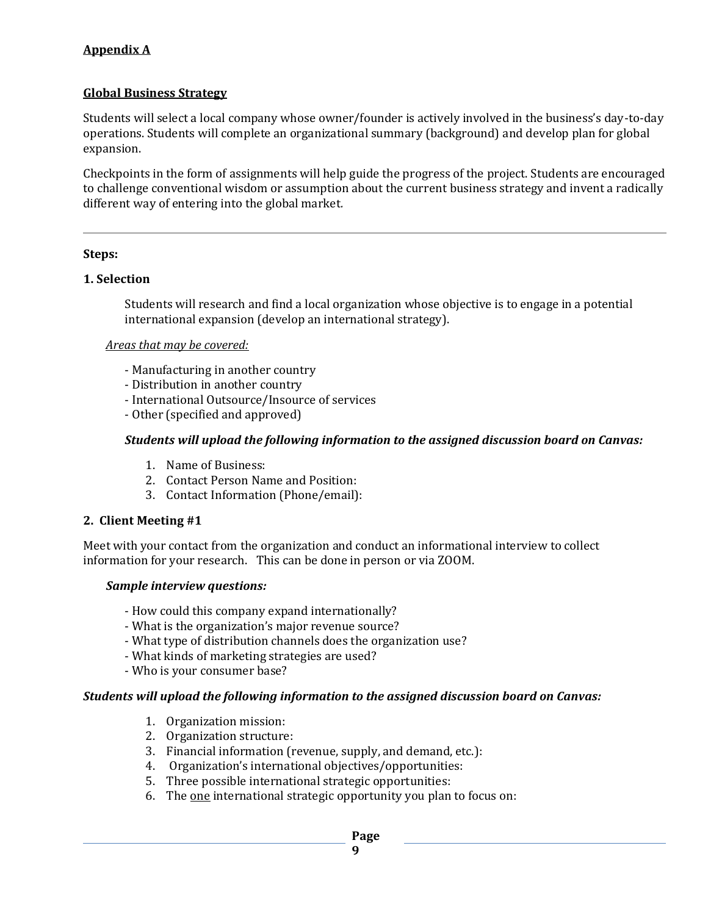## **Appendix A**

#### **Global Business Strategy**

Students will select a local company whose owner/founder is actively involved in the business's day-to-day operations. Students will complete an organizational summary (background) and develop plan for global expansion.

Checkpoints in the form of assignments will help guide the progress of the project. Students are encouraged to challenge conventional wisdom or assumption about the current business strategy and invent a radically different way of entering into the global market*.*

#### **Steps:**

#### **1. Selection**

Students will research and find a local organization whose objective is to engage in a potential international expansion (develop an international strategy).

#### *Areas that may be covered:*

- Manufacturing in another country
- Distribution in another country
- International Outsource/Insource of services
- Other (specified and approved)

#### *Students will upload the following information to the assigned discussion board on Canvas:*

- 1. Name of Business:
- 2. Contact Person Name and Position:
- 3. Contact Information (Phone/email):

#### **2. Client Meeting #1**

Meet with your contact from the organization and conduct an informational interview to collect information for your research. This can be done in person or via ZOOM.

#### *Sample interview questions:*

- How could this company expand internationally?
- What is the organization's major revenue source?
- What type of distribution channels does the organization use?
- What kinds of marketing strategies are used?
- Who is your consumer base?

#### *Students will upload the following information to the assigned discussion board on Canvas:*

- 1. Organization mission:
- 2. Organization structure:
- 3. Financial information (revenue, supply, and demand, etc.):
- 4. Organization's international objectives/opportunities:
- 5. Three possible international strategic opportunities:
- 6. The <u>one</u> international strategic opportunity you plan to focus on: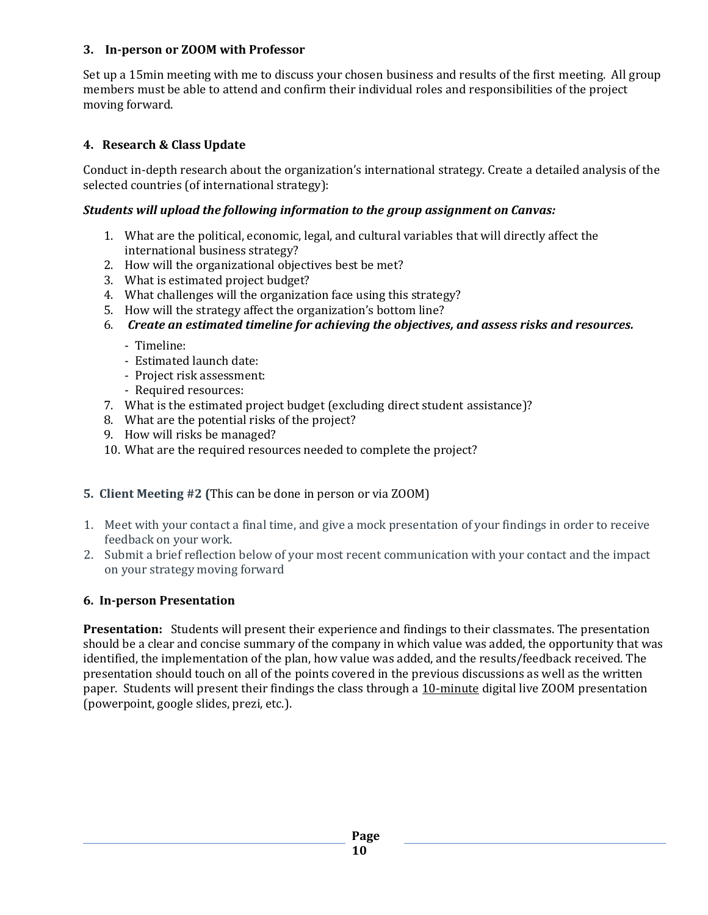#### **3. In-person or ZOOM with Professor**

Set up a 15min meeting with me to discuss your chosen business and results of the first meeting. All group members must be able to attend and confirm their individual roles and responsibilities of the project moving forward.

## **4. Research & Class Update**

Conduct in-depth research about the organization's international strategy. Create a detailed analysis of the selected countries (of international strategy):

## *Students will upload the following information to the group assignment on Canvas:*

- 1. What are the political, economic, legal, and cultural variables that will directly affect the international business strategy?
- 2. How will the organizational objectives best be met?
- 3. What is estimated project budget?
- 4. What challenges will the organization face using this strategy?
- 5. How will the strategy affect the organization's bottom line?
- 6. *Create an estimated timeline for achieving the objectives, and assess risks and resources.*
	- Timeline:
	- Estimated launch date:
	- Project risk assessment:
	- Required resources:
- 7. What is the estimated project budget (excluding direct student assistance)?
- 8. What are the potential risks of the project?
- 9. How will risks be managed?
- 10. What are the required resources needed to complete the project?

## **5. Client Meeting #2 (**This can be done in person or via ZOOM)

- 1. Meet with your contact a final time, and give a mock presentation of your findings in order to receive feedback on your work.
- 2. Submit a brief reflection below of your most recent communication with your contact and the impact on your strategy moving forward

## **6. In-person Presentation**

**Presentation:** Students will present their experience and findings to their classmates. The presentation should be a clear and concise summary of the company in which value was added, the opportunity that was identified, the implementation of the plan, how value was added, and the results/feedback received. The presentation should touch on all of the points covered in the previous discussions as well as the written paper. Students will present their findings the class through a 10-minute digital live ZOOM presentation (powerpoint, google slides, prezi, etc.).